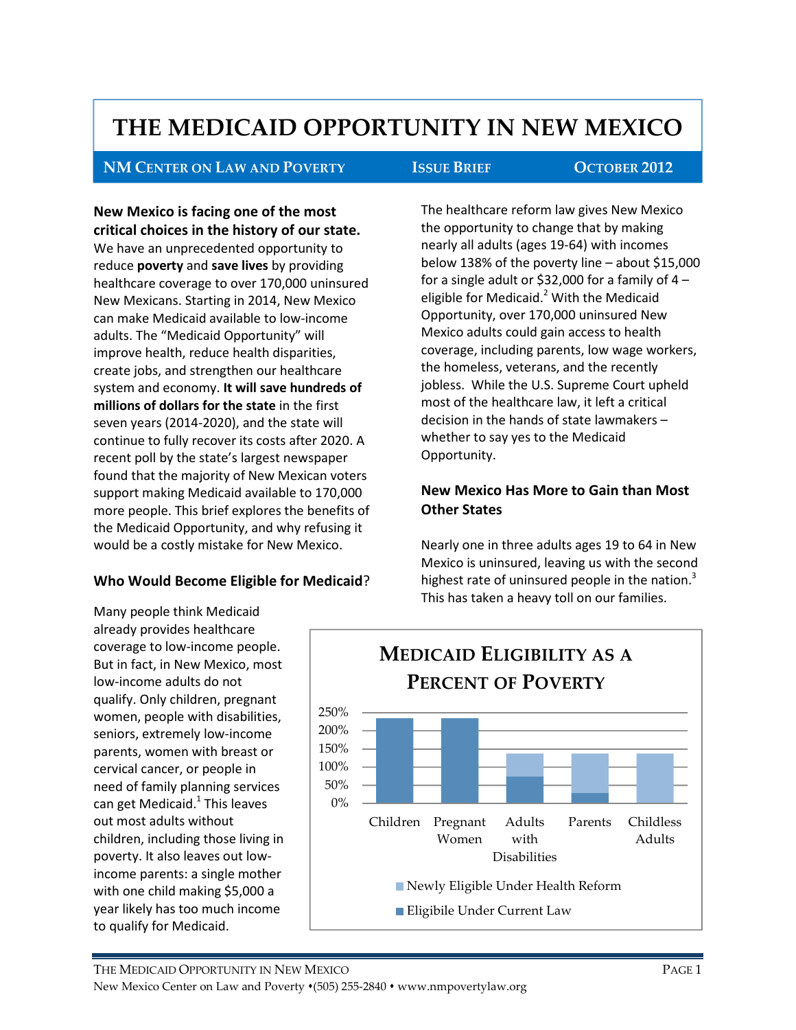# THE MEDICAID OPPORTUNITY IN NEW MEXICO

#### NM CENTER ON LAW AND POVERTY ISSUE BRIEF OCTOBER 2012

Г

New Mexico is facing one of the most critical choices in the history of our state. We have an unprecedented opportunity to reduce **poverty** and **save lives** by providing healthcare coverage to over 170,000 uninsured New Mexicans. Starting in 2014, New Mexico can make Medicaid available to low-income adults. The "Medicaid Opportunity" will improve health, reduce health disparities, create jobs, and strengthen our healthcare system and economy. It will save hundreds of millions of dollars for the state in the first seven years (2014-2020), and the state will continue to fully recover its costs after 2020. A recent poll by the state's largest newspaper found that the majority of New Mexican voters support making Medicaid available to 170,000 more people. This brief explores the benefits of the Medicaid Opportunity, and why refusing it would be a costly mistake for New Mexico.

#### Who Would Become Eligible for Medicaid?

Many people think Medicaid already provides healthcare coverage to low-income people. But in fact, in New Mexico, most

low-income adults do not qualify. Only children, pregnant women, people with disabilities, seniors, extremely low-income parents, women with breast or cervical cancer, or people in need of family planning services can get Medicaid.<sup>1</sup> This leaves out most adults without

children, including those living in poverty. It also leaves out lowincome parents: a single mother with one child making \$5,000 a year likely has too much income

to qualify for Medicaid.

The healthcare reform law gives New Mexico the opportunity to change that by making nearly all adults (ages 19-64) with incomes below 138% of the poverty line – about \$15,000 for a single adult or \$32,000 for a family of  $4$ eligible for Medicaid.<sup>2</sup> With the Medicaid Opportunity, over 170,000 uninsured New Mexico adults could gain access to health coverage, including parents, low wage workers, the homeless, veterans, and the recently jobless. While the U.S. Supreme Court upheld most of the healthcare law, it left a critical decision in the hands of state lawmakers – whether to say yes to the Medicaid Opportunity.

## New Mexico Has More to Gain than Most Other States

Nearly one in three adults ages 19 to 64 in New Mexico is uninsured, leaving us with the second highest rate of uninsured people in the nation. $3$ This has taken a heavy toll on our families.

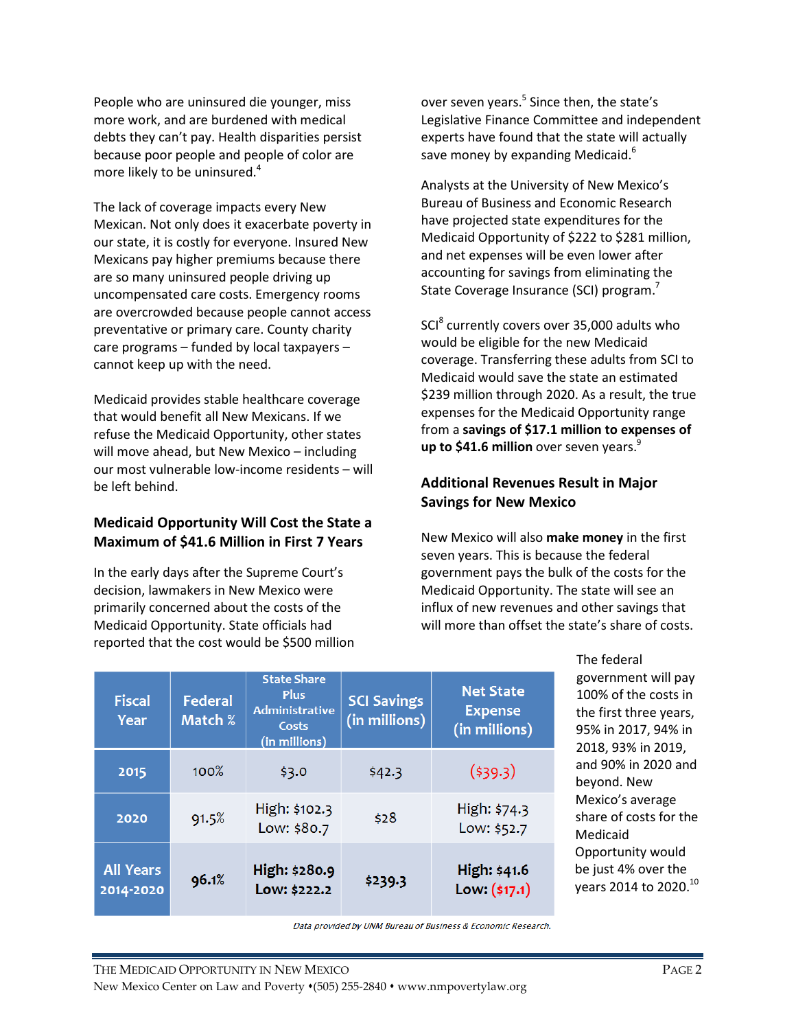People who are uninsured die younger, miss more work, and are burdened with medical debts they can't pay. Health disparities persist because poor people and people of color are more likely to be uninsured.<sup>4</sup>

The lack of coverage impacts every New Mexican. Not only does it exacerbate poverty in our state, it is costly for everyone. Insured New Mexicans pay higher premiums because there are so many uninsured people driving up uncompensated care costs. Emergency rooms are overcrowded because people cannot access preventative or primary care. County charity care programs – funded by local taxpayers – cannot keep up with the need.

Medicaid provides stable healthcare coverage that would benefit all New Mexicans. If we refuse the Medicaid Opportunity, other states will move ahead, but New Mexico – including our most vulnerable low-income residents – will be left behind.

#### Medicaid Opportunity Will Cost the State a Maximum of \$41.6 Million in First 7 Years

In the early days after the Supreme Court's decision, lawmakers in New Mexico were primarily concerned about the costs of the Medicaid Opportunity. State officials had reported that the cost would be \$500 million

over seven years.<sup>5</sup> Since then, the state's Legislative Finance Committee and independent experts have found that the state will actually save money by expanding Medicaid.<sup>6</sup>

Analysts at the University of New Mexico's Bureau of Business and Economic Research have projected state expenditures for the Medicaid Opportunity of \$222 to \$281 million, and net expenses will be even lower after accounting for savings from eliminating the State Coverage Insurance (SCI) program.<sup>7</sup>

SCI<sup>8</sup> currently covers over 35,000 adults who would be eligible for the new Medicaid coverage. Transferring these adults from SCI to Medicaid would save the state an estimated \$239 million through 2020. As a result, the true expenses for the Medicaid Opportunity range from a savings of \$17.1 million to expenses of up to \$41.6 million over seven years. $9$ 

### Additional Revenues Result in Major Savings for New Mexico

New Mexico will also make money in the first seven years. This is because the federal government pays the bulk of the costs for the Medicaid Opportunity. The state will see an influx of new revenues and other savings that will more than offset the state's share of costs.

| <b>Fiscal</b><br>Year         | Federal<br>Match % | <b>State Share</b><br><b>Plus</b><br><b>Administrative</b><br>Costs<br>(in millions) | <b>SCI Savings</b><br>(in millions) | <b>Net State</b><br><b>Expense</b><br>(in millions) |
|-------------------------------|--------------------|--------------------------------------------------------------------------------------|-------------------------------------|-----------------------------------------------------|
| 2015                          | $100\%$            | \$3.0                                                                                | \$42.3                              | (539.3)                                             |
| 2020                          | 91.5%              | High: \$102.3<br>Low: \$80.7                                                         | \$28                                | High: \$74.3<br>Low: \$52.7                         |
| <b>All Years</b><br>2014-2020 | 96.1%              | High: \$280.9<br>Low: \$222.2                                                        | \$239.3                             | High: \$41.6<br>Low: (\$17.1)                       |

The federal government will pay 100% of the costs in the first three years, 95% in 2017, 94% in 2018, 93% in 2019, and 90% in 2020 and beyond. New Mexico's average share of costs for the Medicaid Opportunity would be just 4% over the years 2014 to 2020.<sup>10</sup>

Data provided by UNM Bureau of Business & Economic Research.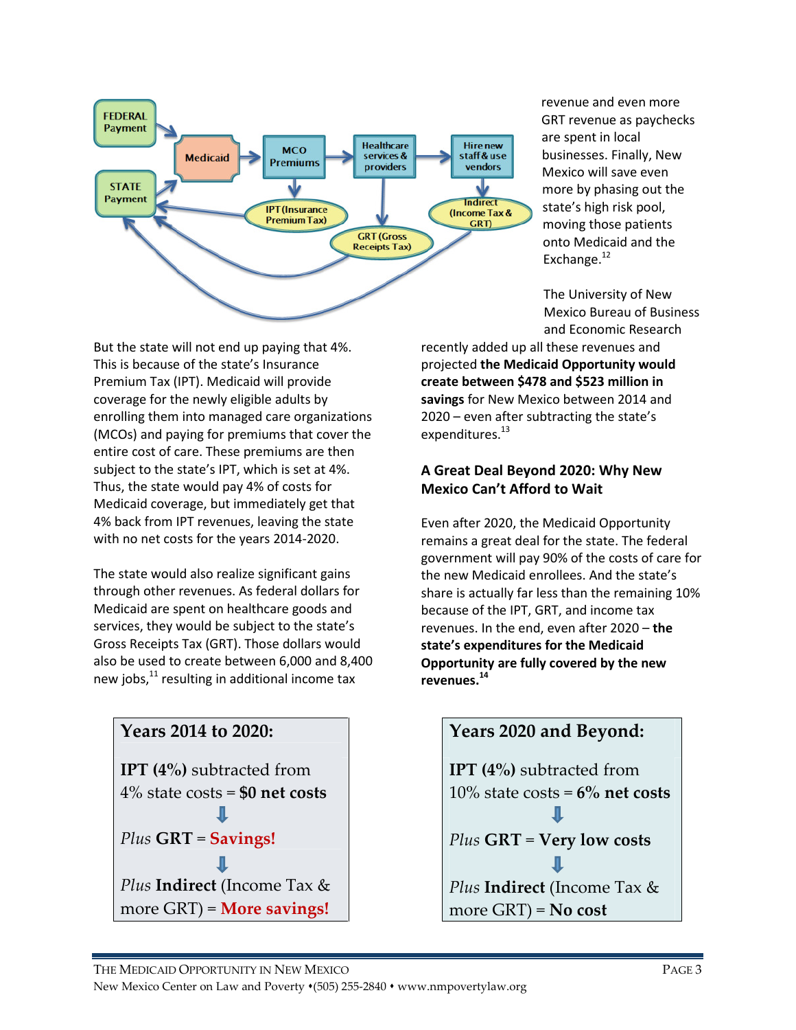

revenue and even more GRT revenue as paychecks are spent in local businesses. Finally, New Mexico will save even more by phasing out the state's high risk pool, moving those patients onto Medicaid and the Exchange.<sup>12</sup>

The University of New Mexico Bureau of Business and Economic Research

But the state will not end up paying that 4%. This is because of the state's Insurance Premium Tax (IPT). Medicaid will provide coverage for the newly eligible adults by enrolling them into managed care organizations (MCOs) and paying for premiums that cover the entire cost of care. These premiums are then subject to the state's IPT, which is set at 4%. Thus, the state would pay 4% of costs for Medicaid coverage, but immediately get that 4% back from IPT revenues, leaving the state with no net costs for the years 2014-2020.

The state would also realize significant gains through other revenues. As federal dollars for Medicaid are spent on healthcare goods and services, they would be subject to the state's Gross Receipts Tax (GRT). Those dollars would also be used to create between 6,000 and 8,400 new jobs, $11$  resulting in additional income tax



recently added up all these revenues and projected the Medicaid Opportunity would create between \$478 and \$523 million in savings for New Mexico between 2014 and 2020 – even after subtracting the state's expenditures.<sup>13</sup>

### A Great Deal Beyond 2020: Why New Mexico Can't Afford to Wait

Even after 2020, the Medicaid Opportunity remains a great deal for the state. The federal government will pay 90% of the costs of care for the new Medicaid enrollees. And the state's share is actually far less than the remaining 10% because of the IPT, GRT, and income tax revenues. In the end, even after 2020 – the state's expenditures for the Medicaid Opportunity are fully covered by the new revenues.<sup>14</sup>

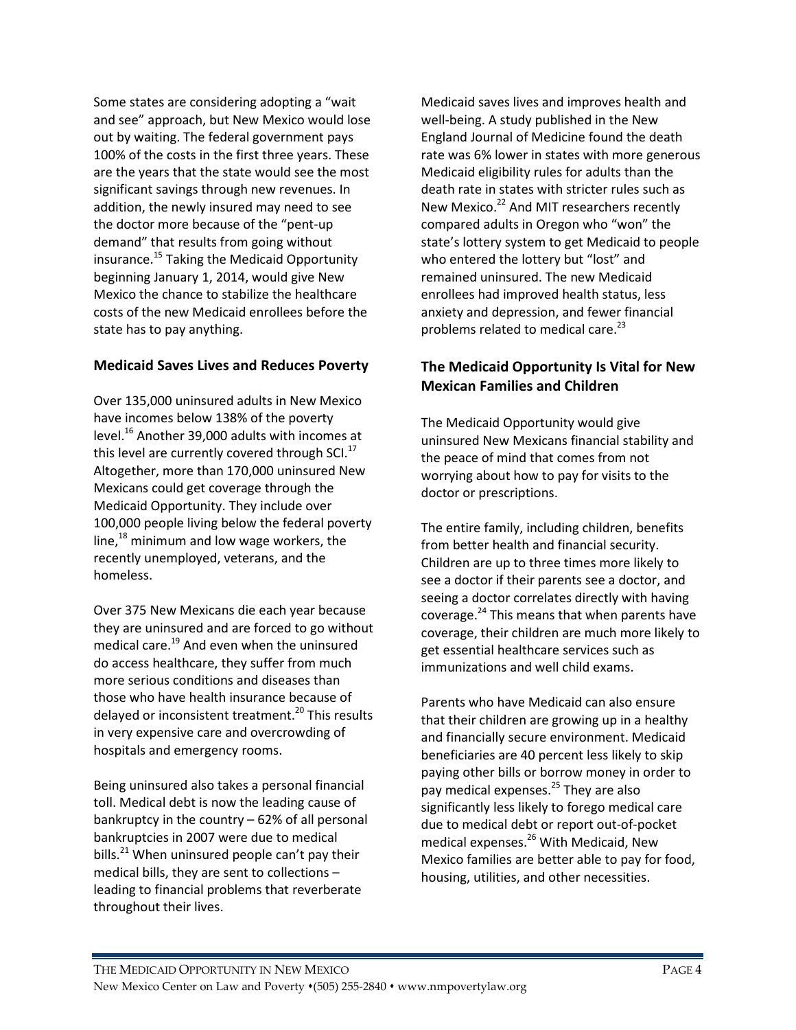Some states are considering adopting a "wait and see" approach, but New Mexico would lose out by waiting. The federal government pays 100% of the costs in the first three years. These are the years that the state would see the most significant savings through new revenues. In addition, the newly insured may need to see the doctor more because of the "pent-up demand" that results from going without insurance.<sup>15</sup> Taking the Medicaid Opportunity beginning January 1, 2014, would give New Mexico the chance to stabilize the healthcare costs of the new Medicaid enrollees before the state has to pay anything.

#### Medicaid Saves Lives and Reduces Poverty

Over 135,000 uninsured adults in New Mexico have incomes below 138% of the poverty level.<sup>16</sup> Another 39,000 adults with incomes at this level are currently covered through  $SCI<sup>17</sup>$ Altogether, more than 170,000 uninsured New Mexicans could get coverage through the Medicaid Opportunity. They include over 100,000 people living below the federal poverty line, $^{18}$  minimum and low wage workers, the recently unemployed, veterans, and the homeless.

Over 375 New Mexicans die each year because they are uninsured and are forced to go without medical care.<sup>19</sup> And even when the uninsured do access healthcare, they suffer from much more serious conditions and diseases than those who have health insurance because of delayed or inconsistent treatment.<sup>20</sup> This results in very expensive care and overcrowding of hospitals and emergency rooms.

Being uninsured also takes a personal financial toll. Medical debt is now the leading cause of bankruptcy in the country – 62% of all personal bankruptcies in 2007 were due to medical bills. $^{21}$  When uninsured people can't pay their medical bills, they are sent to collections – leading to financial problems that reverberate throughout their lives.

Medicaid saves lives and improves health and well-being. A study published in the New England Journal of Medicine found the death rate was 6% lower in states with more generous Medicaid eligibility rules for adults than the death rate in states with stricter rules such as New Mexico.<sup>22</sup> And MIT researchers recently compared adults in Oregon who "won" the state's lottery system to get Medicaid to people who entered the lottery but "lost" and remained uninsured. The new Medicaid enrollees had improved health status, less anxiety and depression, and fewer financial problems related to medical care.<sup>23</sup>

### The Medicaid Opportunity Is Vital for New Mexican Families and Children

The Medicaid Opportunity would give uninsured New Mexicans financial stability and the peace of mind that comes from not worrying about how to pay for visits to the doctor or prescriptions.

The entire family, including children, benefits from better health and financial security. Children are up to three times more likely to see a doctor if their parents see a doctor, and seeing a doctor correlates directly with having coverage.<sup>24</sup> This means that when parents have coverage, their children are much more likely to get essential healthcare services such as immunizations and well child exams.

Parents who have Medicaid can also ensure that their children are growing up in a healthy and financially secure environment. Medicaid beneficiaries are 40 percent less likely to skip paying other bills or borrow money in order to pay medical expenses.<sup>25</sup> They are also significantly less likely to forego medical care due to medical debt or report out-of-pocket medical expenses.<sup>26</sup> With Medicaid, New Mexico families are better able to pay for food, housing, utilities, and other necessities.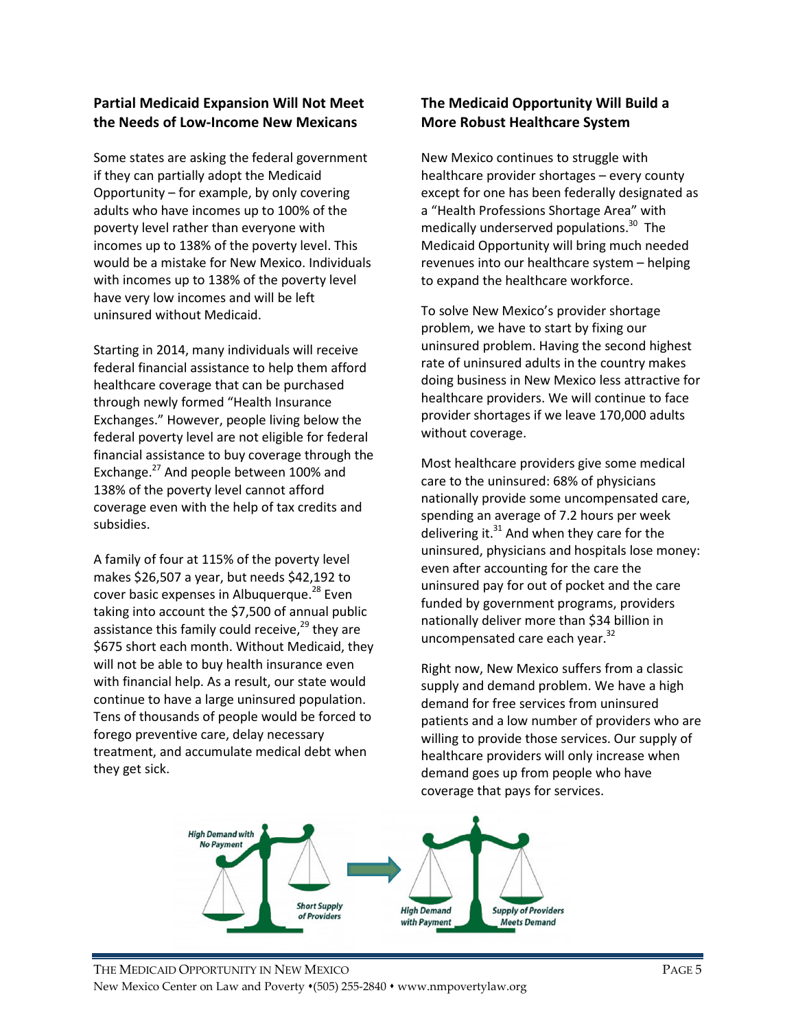#### Partial Medicaid Expansion Will Not Meet the Needs of Low-Income New Mexicans

Some states are asking the federal government if they can partially adopt the Medicaid Opportunity – for example, by only covering adults who have incomes up to 100% of the poverty level rather than everyone with incomes up to 138% of the poverty level. This would be a mistake for New Mexico. Individuals with incomes up to 138% of the poverty level have very low incomes and will be left uninsured without Medicaid.

Starting in 2014, many individuals will receive federal financial assistance to help them afford healthcare coverage that can be purchased through newly formed "Health Insurance Exchanges." However, people living below the federal poverty level are not eligible for federal financial assistance to buy coverage through the Exchange.<sup>27</sup> And people between 100% and 138% of the poverty level cannot afford coverage even with the help of tax credits and subsidies.

A family of four at 115% of the poverty level makes \$26,507 a year, but needs \$42,192 to cover basic expenses in Albuquerque.<sup>28</sup> Even taking into account the \$7,500 of annual public assistance this family could receive, $^{29}$  they are \$675 short each month. Without Medicaid, they will not be able to buy health insurance even with financial help. As a result, our state would continue to have a large uninsured population. Tens of thousands of people would be forced to forego preventive care, delay necessary treatment, and accumulate medical debt when they get sick.

### The Medicaid Opportunity Will Build a More Robust Healthcare System

New Mexico continues to struggle with healthcare provider shortages – every county except for one has been federally designated as a "Health Professions Shortage Area" with medically underserved populations.<sup>30</sup> The Medicaid Opportunity will bring much needed revenues into our healthcare system – helping to expand the healthcare workforce.

To solve New Mexico's provider shortage problem, we have to start by fixing our uninsured problem. Having the second highest rate of uninsured adults in the country makes doing business in New Mexico less attractive for healthcare providers. We will continue to face provider shortages if we leave 170,000 adults without coverage.

Most healthcare providers give some medical care to the uninsured: 68% of physicians nationally provide some uncompensated care, spending an average of 7.2 hours per week delivering it. $31$  And when they care for the uninsured, physicians and hospitals lose money: even after accounting for the care the uninsured pay for out of pocket and the care funded by government programs, providers nationally deliver more than \$34 billion in uncompensated care each year.<sup>32</sup>

Right now, New Mexico suffers from a classic supply and demand problem. We have a high demand for free services from uninsured patients and a low number of providers who are willing to provide those services. Our supply of healthcare providers will only increase when demand goes up from people who have coverage that pays for services.

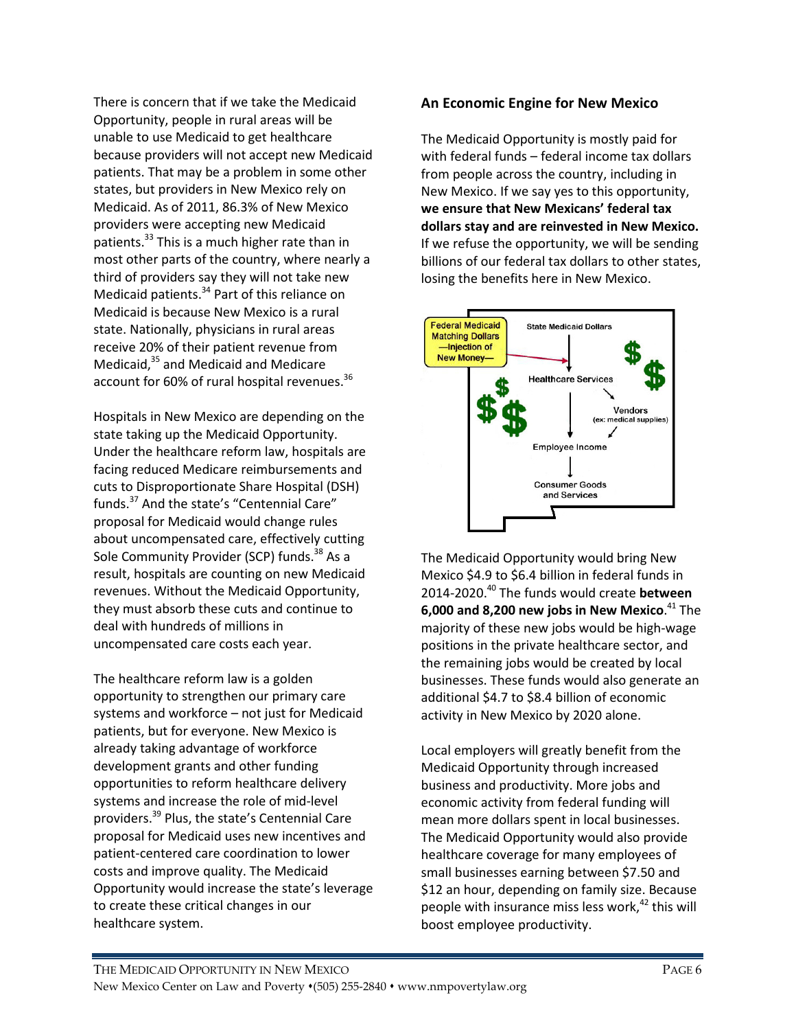There is concern that if we take the Medicaid Opportunity, people in rural areas will be unable to use Medicaid to get healthcare because providers will not accept new Medicaid patients. That may be a problem in some other states, but providers in New Mexico rely on Medicaid. As of 2011, 86.3% of New Mexico providers were accepting new Medicaid patients.<sup>33</sup> This is a much higher rate than in most other parts of the country, where nearly a third of providers say they will not take new Medicaid patients.<sup>34</sup> Part of this reliance on Medicaid is because New Mexico is a rural state. Nationally, physicians in rural areas receive 20% of their patient revenue from Medicaid,<sup>35</sup> and Medicaid and Medicare account for 60% of rural hospital revenues.<sup>36</sup>

Hospitals in New Mexico are depending on the state taking up the Medicaid Opportunity. Under the healthcare reform law, hospitals are facing reduced Medicare reimbursements and cuts to Disproportionate Share Hospital (DSH) funds.<sup>37</sup> And the state's "Centennial Care" proposal for Medicaid would change rules about uncompensated care, effectively cutting Sole Community Provider (SCP) funds.<sup>38</sup> As a result, hospitals are counting on new Medicaid revenues. Without the Medicaid Opportunity, they must absorb these cuts and continue to deal with hundreds of millions in uncompensated care costs each year.

The healthcare reform law is a golden opportunity to strengthen our primary care systems and workforce – not just for Medicaid patients, but for everyone. New Mexico is already taking advantage of workforce development grants and other funding opportunities to reform healthcare delivery systems and increase the role of mid-level providers.<sup>39</sup> Plus, the state's Centennial Care proposal for Medicaid uses new incentives and patient-centered care coordination to lower costs and improve quality. The Medicaid Opportunity would increase the state's leverage to create these critical changes in our healthcare system.

#### An Economic Engine for New Mexico

The Medicaid Opportunity is mostly paid for with federal funds – federal income tax dollars from people across the country, including in New Mexico. If we say yes to this opportunity, we ensure that New Mexicans' federal tax dollars stay and are reinvested in New Mexico. If we refuse the opportunity, we will be sending billions of our federal tax dollars to other states, losing the benefits here in New Mexico.



The Medicaid Opportunity would bring New Mexico \$4.9 to \$6.4 billion in federal funds in 2014-2020.<sup>40</sup> The funds would create between 6,000 and 8,200 new jobs in New Mexico. $^{41}$  The majority of these new jobs would be high-wage positions in the private healthcare sector, and the remaining jobs would be created by local businesses. These funds would also generate an additional \$4.7 to \$8.4 billion of economic activity in New Mexico by 2020 alone.

Local employers will greatly benefit from the Medicaid Opportunity through increased business and productivity. More jobs and economic activity from federal funding will mean more dollars spent in local businesses. The Medicaid Opportunity would also provide healthcare coverage for many employees of small businesses earning between \$7.50 and \$12 an hour, depending on family size. Because people with insurance miss less work, $42$  this will boost employee productivity.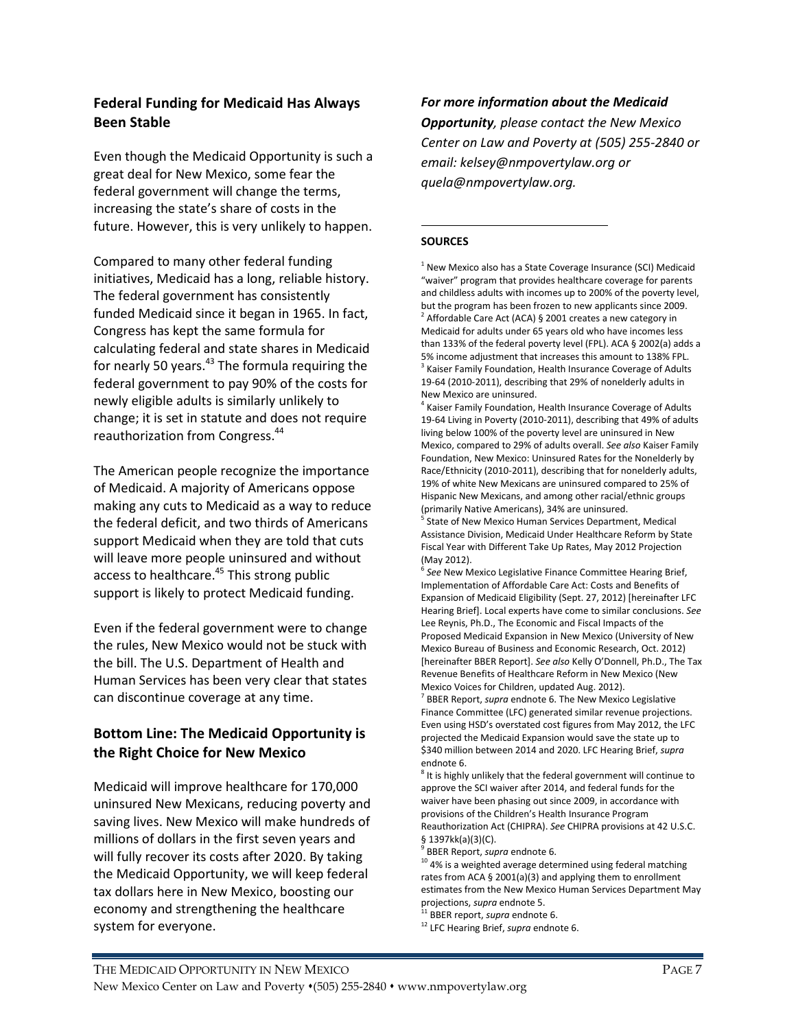#### Federal Funding for Medicaid Has Always Been Stable

Even though the Medicaid Opportunity is such a great deal for New Mexico, some fear the federal government will change the terms, increasing the state's share of costs in the future. However, this is very unlikely to happen.

Compared to many other federal funding initiatives, Medicaid has a long, reliable history. The federal government has consistently funded Medicaid since it began in 1965. In fact, Congress has kept the same formula for calculating federal and state shares in Medicaid for nearly 50 years. $43$  The formula requiring the federal government to pay 90% of the costs for newly eligible adults is similarly unlikely to change; it is set in statute and does not require reauthorization from Congress.<sup>44</sup>

The American people recognize the importance of Medicaid. A majority of Americans oppose making any cuts to Medicaid as a way to reduce the federal deficit, and two thirds of Americans support Medicaid when they are told that cuts will leave more people uninsured and without access to healthcare.<sup>45</sup> This strong public support is likely to protect Medicaid funding.

Even if the federal government were to change the rules, New Mexico would not be stuck with the bill. The U.S. Department of Health and Human Services has been very clear that states can discontinue coverage at any time.

#### Bottom Line: The Medicaid Opportunity is the Right Choice for New Mexico

Medicaid will improve healthcare for 170,000 uninsured New Mexicans, reducing poverty and saving lives. New Mexico will make hundreds of millions of dollars in the first seven years and will fully recover its costs after 2020. By taking the Medicaid Opportunity, we will keep federal tax dollars here in New Mexico, boosting our economy and strengthening the healthcare system for everyone.

For more information about the Medicaid **Opportunity**, please contact the New Mexico Center on Law and Poverty at (505) 255-2840 or email: kelsey@nmpovertylaw.org or quela@nmpovertylaw.org.

#### -**SOURCES**

 $1$  New Mexico also has a State Coverage Insurance (SCI) Medicaid "waiver" program that provides healthcare coverage for parents and childless adults with incomes up to 200% of the poverty level, but the program has been frozen to new applicants since 2009.  $2$  Affordable Care Act (ACA) § 2001 creates a new category in Medicaid for adults under 65 years old who have incomes less than 133% of the federal poverty level (FPL). ACA § 2002(a) adds a 5% income adjustment that increases this amount to 138% FPL. <sup>3</sup> Kaiser Family Foundation, Health Insurance Coverage of Adults 19-64 (2010-2011), describing that 29% of nonelderly adults in New Mexico are uninsured.

<sup>4</sup> Kaiser Family Foundation, Health Insurance Coverage of Adults 19-64 Living in Poverty (2010-2011), describing that 49% of adults living below 100% of the poverty level are uninsured in New Mexico, compared to 29% of adults overall. See also Kaiser Family Foundation, New Mexico: Uninsured Rates for the Nonelderly by Race/Ethnicity (2010-2011), describing that for nonelderly adults, 19% of white New Mexicans are uninsured compared to 25% of Hispanic New Mexicans, and among other racial/ethnic groups (primarily Native Americans), 34% are uninsured.

5 State of New Mexico Human Services Department, Medical Assistance Division, Medicaid Under Healthcare Reform by State Fiscal Year with Different Take Up Rates, May 2012 Projection (May 2012).

<sup>6</sup> See New Mexico Legislative Finance Committee Hearing Brief, Implementation of Affordable Care Act: Costs and Benefits of Expansion of Medicaid Eligibility (Sept. 27, 2012) [hereinafter LFC Hearing Brief]. Local experts have come to similar conclusions. See Lee Reynis, Ph.D., The Economic and Fiscal Impacts of the Proposed Medicaid Expansion in New Mexico (University of New Mexico Bureau of Business and Economic Research, Oct. 2012) [hereinafter BBER Report]. See also Kelly O'Donnell, Ph.D., The Tax Revenue Benefits of Healthcare Reform in New Mexico (New Mexico Voices for Children, updated Aug. 2012).

 $7$  BBER Report, supra endnote 6. The New Mexico Legislative Finance Committee (LFC) generated similar revenue projections. Even using HSD's overstated cost figures from May 2012, the LFC projected the Medicaid Expansion would save the state up to \$340 million between 2014 and 2020. LFC Hearing Brief, supra endnote 6.

<sup>8</sup> It is highly unlikely that the federal government will continue to approve the SCI waiver after 2014, and federal funds for the waiver have been phasing out since 2009, in accordance with provisions of the Children's Health Insurance Program Reauthorization Act (CHIPRA). See CHIPRA provisions at 42 U.S.C. § 1397kk(a)(3)(C).

<sup>9</sup> BBER Report, supra endnote 6.

 $^{10}$  4% is a weighted average determined using federal matching rates from ACA § 2001(a)(3) and applying them to enrollment estimates from the New Mexico Human Services Department May projections, supra endnote 5.

<sup>11</sup> BBER report, supra endnote 6.

<sup>12</sup> LFC Hearing Brief, supra endnote 6.